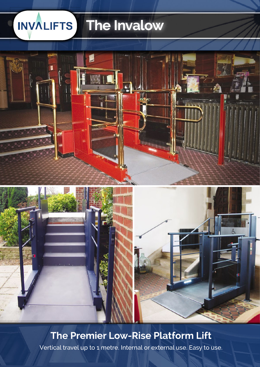### **INVALIFTS The Invalow**



### **The Premier Low-Rise Platform Lift**

Vertical travel up to 1 metre. Internal or external use. Easy to use.